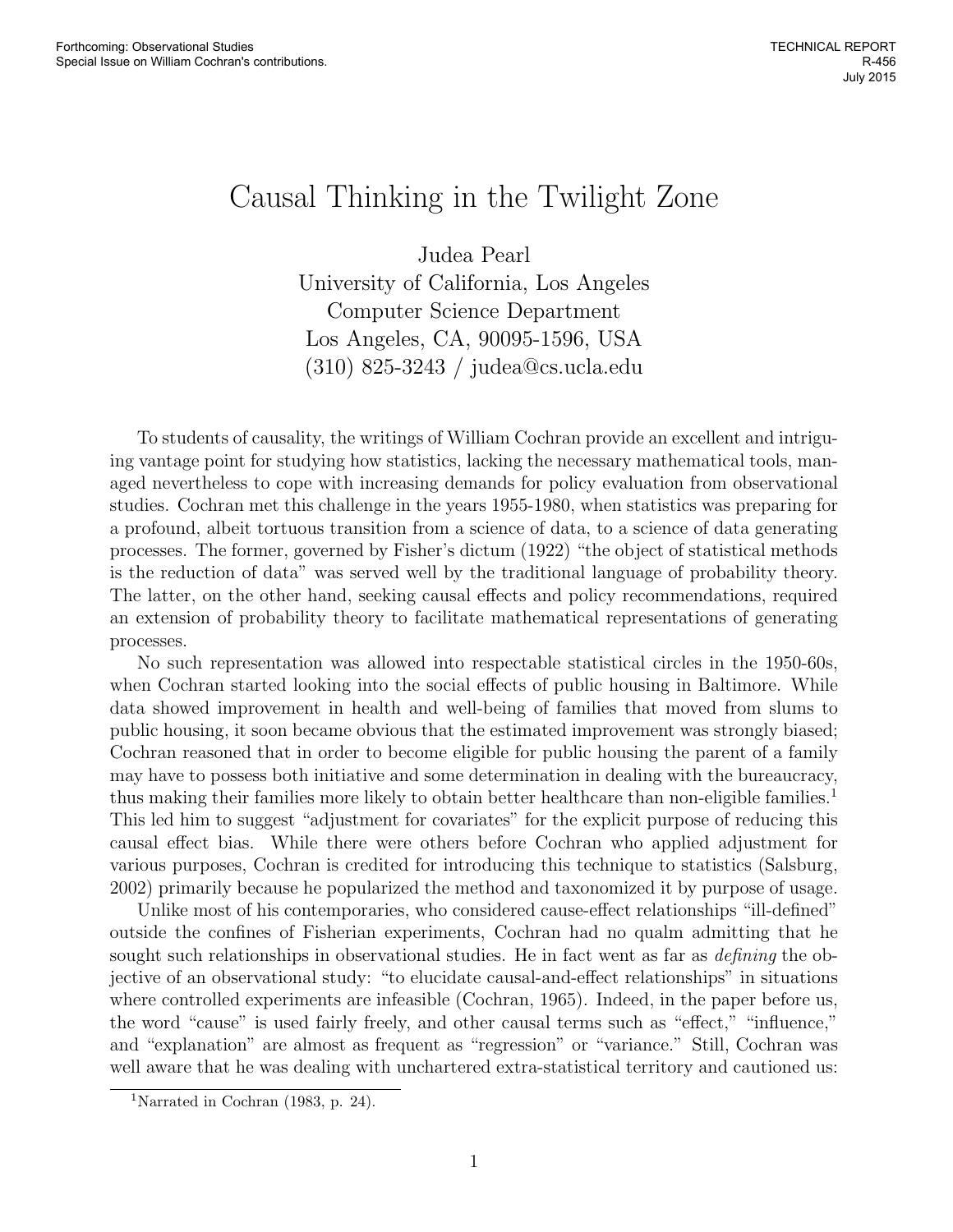## Causal Thinking in the Twilight Zone

Judea Pearl University of California, Los Angeles Computer Science Department Los Angeles, CA, 90095-1596, USA (310) 825-3243 / judea@cs.ucla.edu

To students of causality, the writings of William Cochran provide an excellent and intriguing vantage point for studying how statistics, lacking the necessary mathematical tools, managed nevertheless to cope with increasing demands for policy evaluation from observational studies. Cochran met this challenge in the years 1955-1980, when statistics was preparing for a profound, albeit tortuous transition from a science of data, to a science of data generating processes. The former, governed by Fisher's dictum (1922) "the object of statistical methods is the reduction of data" was served well by the traditional language of probability theory. The latter, on the other hand, seeking causal effects and policy recommendations, required an extension of probability theory to facilitate mathematical representations of generating processes.

No such representation was allowed into respectable statistical circles in the 1950-60s, when Cochran started looking into the social effects of public housing in Baltimore. While data showed improvement in health and well-being of families that moved from slums to public housing, it soon became obvious that the estimated improvement was strongly biased; Cochran reasoned that in order to become eligible for public housing the parent of a family may have to possess both initiative and some determination in dealing with the bureaucracy, thus making their families more likely to obtain better healthcare than non-eligible families.<sup>1</sup> This led him to suggest "adjustment for covariates" for the explicit purpose of reducing this causal effect bias. While there were others before Cochran who applied adjustment for various purposes, Cochran is credited for introducing this technique to statistics (Salsburg, 2002) primarily because he popularized the method and taxonomized it by purpose of usage.

Unlike most of his contemporaries, who considered cause-effect relationships "ill-defined" outside the confines of Fisherian experiments, Cochran had no qualm admitting that he sought such relationships in observational studies. He in fact went as far as *defining* the objective of an observational study: "to elucidate causal-and-effect relationships" in situations where controlled experiments are infeasible (Cochran, 1965). Indeed, in the paper before us, the word "cause" is used fairly freely, and other causal terms such as "effect," "influence," and "explanation" are almost as frequent as "regression" or "variance." Still, Cochran was well aware that he was dealing with unchartered extra-statistical territory and cautioned us:

<sup>&</sup>lt;sup>1</sup>Narrated in Cochran (1983, p. 24).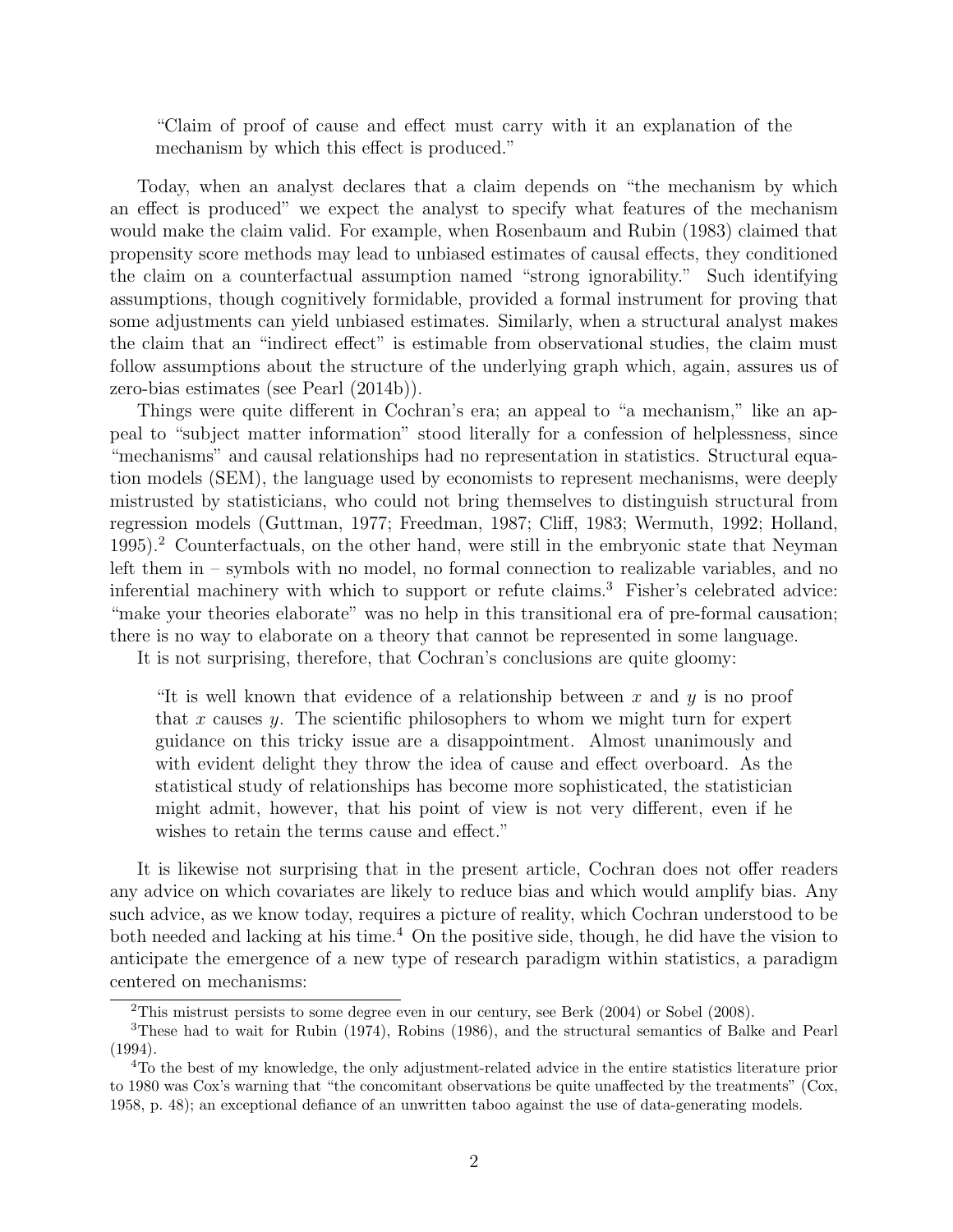"Claim of proof of cause and effect must carry with it an explanation of the mechanism by which this effect is produced."

Today, when an analyst declares that a claim depends on "the mechanism by which an effect is produced" we expect the analyst to specify what features of the mechanism would make the claim valid. For example, when Rosenbaum and Rubin (1983) claimed that propensity score methods may lead to unbiased estimates of causal effects, they conditioned the claim on a counterfactual assumption named "strong ignorability." Such identifying assumptions, though cognitively formidable, provided a formal instrument for proving that some adjustments can yield unbiased estimates. Similarly, when a structural analyst makes the claim that an "indirect effect" is estimable from observational studies, the claim must follow assumptions about the structure of the underlying graph which, again, assures us of zero-bias estimates (see Pearl (2014b)).

Things were quite different in Cochran's era; an appeal to "a mechanism," like an appeal to "subject matter information" stood literally for a confession of helplessness, since "mechanisms" and causal relationships had no representation in statistics. Structural equation models (SEM), the language used by economists to represent mechanisms, were deeply mistrusted by statisticians, who could not bring themselves to distinguish structural from regression models (Guttman, 1977; Freedman, 1987; Cliff, 1983; Wermuth, 1992; Holland, 1995).<sup>2</sup> Counterfactuals, on the other hand, were still in the embryonic state that Neyman left them in – symbols with no model, no formal connection to realizable variables, and no inferential machinery with which to support or refute claims.<sup>3</sup> Fisher's celebrated advice: "make your theories elaborate" was no help in this transitional era of pre-formal causation; there is no way to elaborate on a theory that cannot be represented in some language.

It is not surprising, therefore, that Cochran's conclusions are quite gloomy:

"It is well known that evidence of a relationship between x and  $y$  is no proof that x causes y. The scientific philosophers to whom we might turn for expert guidance on this tricky issue are a disappointment. Almost unanimously and with evident delight they throw the idea of cause and effect overboard. As the statistical study of relationships has become more sophisticated, the statistician might admit, however, that his point of view is not very different, even if he wishes to retain the terms cause and effect."

It is likewise not surprising that in the present article, Cochran does not offer readers any advice on which covariates are likely to reduce bias and which would amplify bias. Any such advice, as we know today, requires a picture of reality, which Cochran understood to be both needed and lacking at his time.<sup>4</sup> On the positive side, though, he did have the vision to anticipate the emergence of a new type of research paradigm within statistics, a paradigm centered on mechanisms:

<sup>2</sup>This mistrust persists to some degree even in our century, see Berk (2004) or Sobel (2008).

<sup>3</sup>These had to wait for Rubin (1974), Robins (1986), and the structural semantics of Balke and Pearl (1994).

<sup>4</sup>To the best of my knowledge, the only adjustment-related advice in the entire statistics literature prior to 1980 was Cox's warning that "the concomitant observations be quite unaffected by the treatments" (Cox, 1958, p. 48); an exceptional defiance of an unwritten taboo against the use of data-generating models.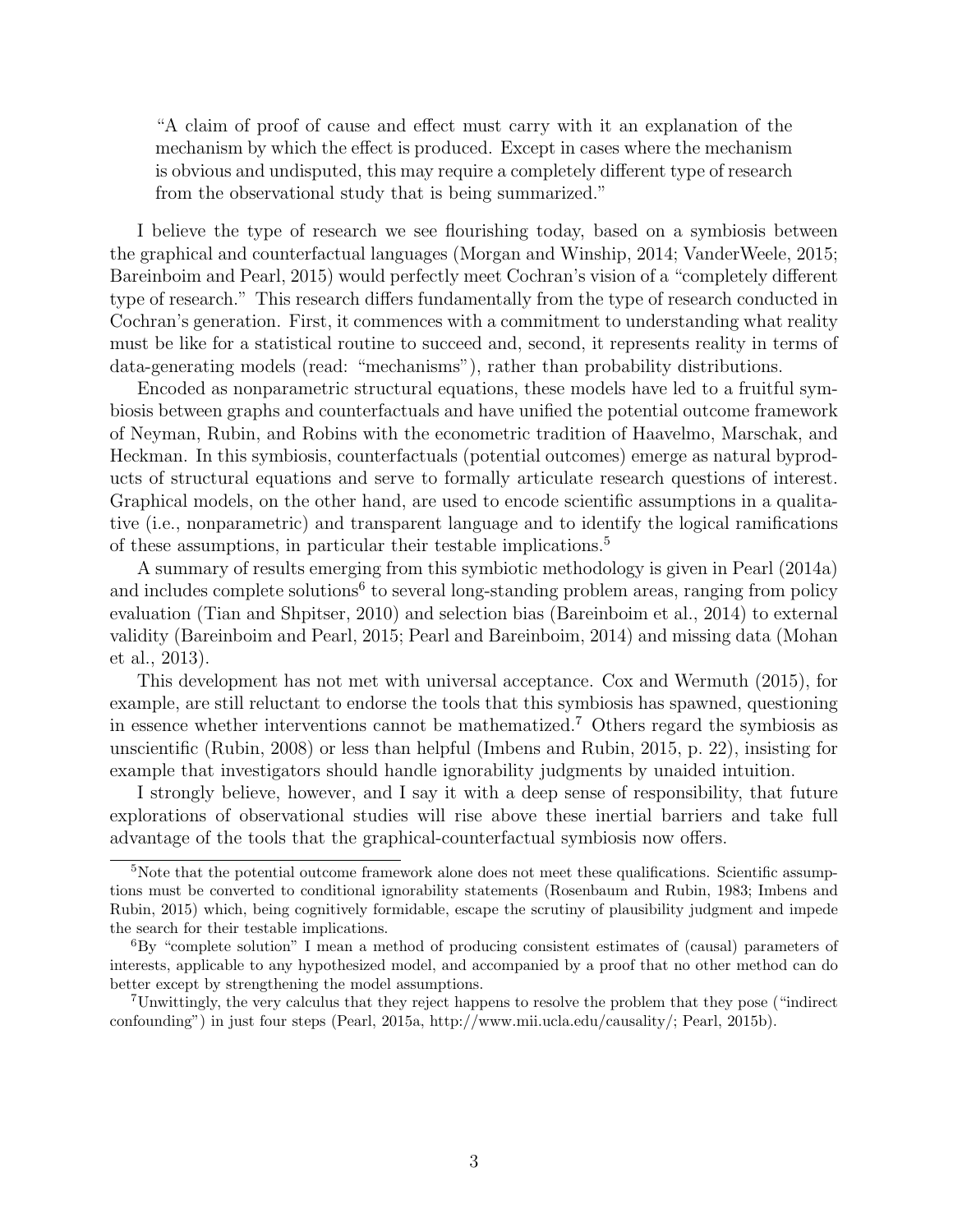"A claim of proof of cause and effect must carry with it an explanation of the mechanism by which the effect is produced. Except in cases where the mechanism is obvious and undisputed, this may require a completely different type of research from the observational study that is being summarized."

I believe the type of research we see flourishing today, based on a symbiosis between the graphical and counterfactual languages (Morgan and Winship, 2014; VanderWeele, 2015; Bareinboim and Pearl, 2015) would perfectly meet Cochran's vision of a "completely different type of research." This research differs fundamentally from the type of research conducted in Cochran's generation. First, it commences with a commitment to understanding what reality must be like for a statistical routine to succeed and, second, it represents reality in terms of data-generating models (read: "mechanisms"), rather than probability distributions.

Encoded as nonparametric structural equations, these models have led to a fruitful symbiosis between graphs and counterfactuals and have unified the potential outcome framework of Neyman, Rubin, and Robins with the econometric tradition of Haavelmo, Marschak, and Heckman. In this symbiosis, counterfactuals (potential outcomes) emerge as natural byproducts of structural equations and serve to formally articulate research questions of interest. Graphical models, on the other hand, are used to encode scientific assumptions in a qualitative (i.e., nonparametric) and transparent language and to identify the logical ramifications of these assumptions, in particular their testable implications.<sup>5</sup>

A summary of results emerging from this symbiotic methodology is given in Pearl (2014a) and includes complete solutions<sup>6</sup> to several long-standing problem areas, ranging from policy evaluation (Tian and Shpitser, 2010) and selection bias (Bareinboim et al., 2014) to external validity (Bareinboim and Pearl, 2015; Pearl and Bareinboim, 2014) and missing data (Mohan et al., 2013).

This development has not met with universal acceptance. Cox and Wermuth (2015), for example, are still reluctant to endorse the tools that this symbiosis has spawned, questioning in essence whether interventions cannot be mathematized.<sup>7</sup> Others regard the symbiosis as unscientific (Rubin, 2008) or less than helpful (Imbens and Rubin, 2015, p. 22), insisting for example that investigators should handle ignorability judgments by unaided intuition.

I strongly believe, however, and I say it with a deep sense of responsibility, that future explorations of observational studies will rise above these inertial barriers and take full advantage of the tools that the graphical-counterfactual symbiosis now offers.

<sup>&</sup>lt;sup>5</sup>Note that the potential outcome framework alone does not meet these qualifications. Scientific assumptions must be converted to conditional ignorability statements (Rosenbaum and Rubin, 1983; Imbens and Rubin, 2015) which, being cognitively formidable, escape the scrutiny of plausibility judgment and impede the search for their testable implications.

<sup>6</sup>By "complete solution" I mean a method of producing consistent estimates of (causal) parameters of interests, applicable to any hypothesized model, and accompanied by a proof that no other method can do better except by strengthening the model assumptions.

<sup>7</sup>Unwittingly, the very calculus that they reject happens to resolve the problem that they pose ("indirect confounding") in just four steps (Pearl, 2015a, http://www.mii.ucla.edu/causality/; Pearl, 2015b).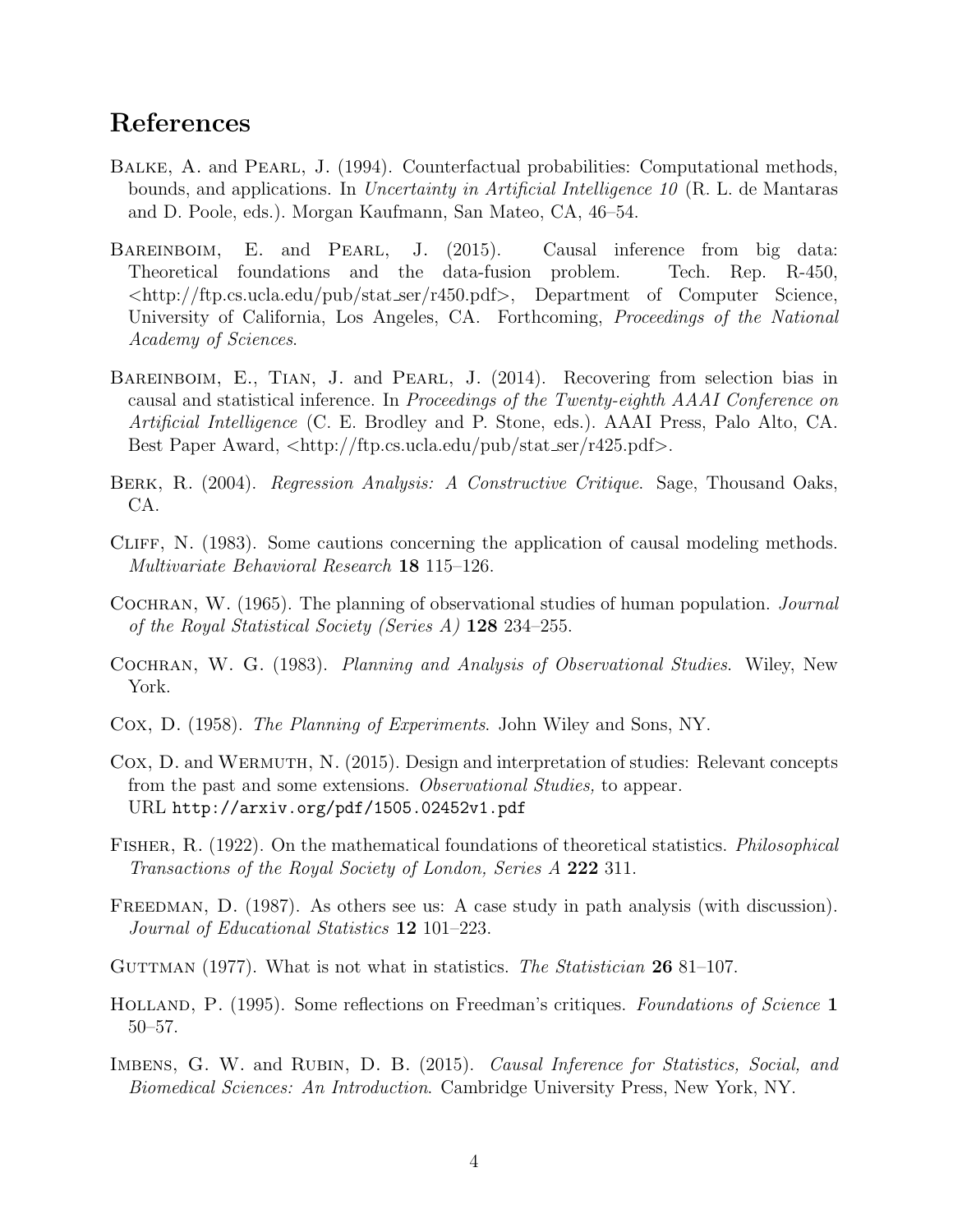## References

- BALKE, A. and PEARL, J. (1994). Counterfactual probabilities: Computational methods, bounds, and applications. In Uncertainty in Artificial Intelligence 10 (R. L. de Mantaras and D. Poole, eds.). Morgan Kaufmann, San Mateo, CA, 46–54.
- BAREINBOIM, E. and PEARL, J. (2015). Causal inference from big data: Theoretical foundations and the data-fusion problem. Tech. Rep. R-450,  $\langle \text{http://ftp.cs.ucla.edu/public/stat_ser/r450.pdf}\rangle$ , Department of Computer Science, University of California, Los Angeles, CA. Forthcoming, *Proceedings of the National* Academy of Sciences.
- BAREINBOIM, E., TIAN, J. and PEARL, J. (2014). Recovering from selection bias in causal and statistical inference. In Proceedings of the Twenty-eighth AAAI Conference on Artificial Intelligence (C. E. Brodley and P. Stone, eds.). AAAI Press, Palo Alto, CA. Best Paper Award,  $\langle \text{http://ftp.cs.ucla.edu/pub/stat_ser/r425.pdf}\rangle$ .
- BERK, R. (2004). *Regression Analysis: A Constructive Critique*. Sage, Thousand Oaks, CA.
- Cliff, N. (1983). Some cautions concerning the application of causal modeling methods. Multivariate Behavioral Research 18 115–126.
- COCHRAN, W. (1965). The planning of observational studies of human population. *Journal* of the Royal Statistical Society (Series A)  $128$  234–255.
- COCHRAN, W. G. (1983). Planning and Analysis of Observational Studies. Wiley, New York.
- Cox, D. (1958). The Planning of Experiments. John Wiley and Sons, NY.
- Cox, D. and Wermuth, N. (2015). Design and interpretation of studies: Relevant concepts from the past and some extensions. Observational Studies, to appear. URL http://arxiv.org/pdf/1505.02452v1.pdf
- Fisher, R. (1922). On the mathematical foundations of theoretical statistics. Philosophical Transactions of the Royal Society of London, Series A 222 311.
- FREEDMAN, D. (1987). As others see us: A case study in path analysis (with discussion). Journal of Educational Statistics 12 101–223.
- GUTTMAN (1977). What is not what in statistics. The Statistician  $2681-107$ .
- HOLLAND, P. (1995). Some reflections on Freedman's critiques. Foundations of Science 1 50–57.
- IMBENS, G. W. and RUBIN, D. B. (2015). Causal Inference for Statistics, Social, and Biomedical Sciences: An Introduction. Cambridge University Press, New York, NY.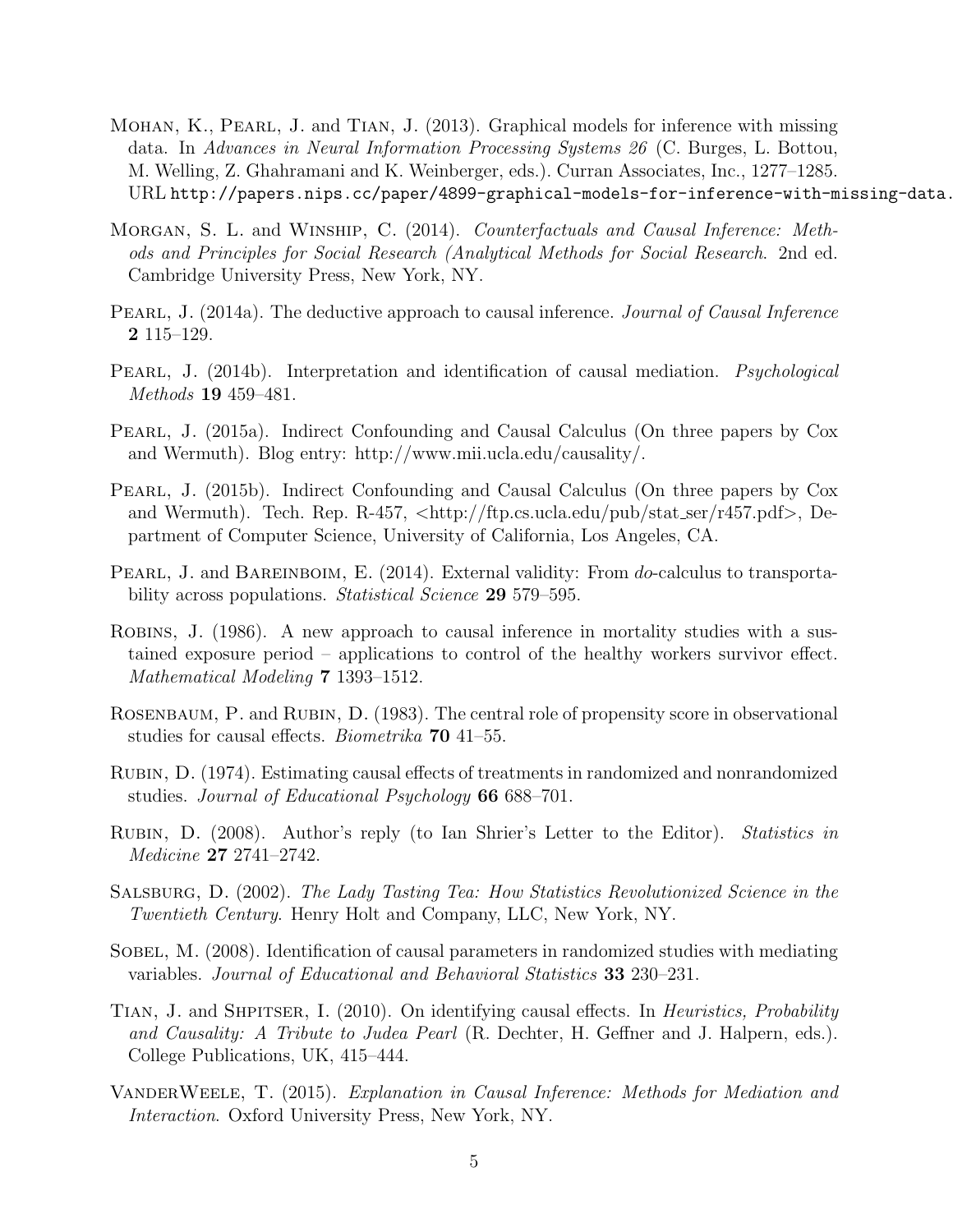- Mohan, K., Pearl, J. and Tian, J. (2013). Graphical models for inference with missing data. In Advances in Neural Information Processing Systems 26 (C. Burges, L. Bottou, M. Welling, Z. Ghahramani and K. Weinberger, eds.). Curran Associates, Inc., 1277–1285. URL http://papers.nips.cc/paper/4899-graphical-models-for-inference-with-missing-data.
- MORGAN, S. L. and WINSHIP, C. (2014). Counterfactuals and Causal Inference: Methods and Principles for Social Research (Analytical Methods for Social Research. 2nd ed. Cambridge University Press, New York, NY.
- PEARL, J. (2014a). The deductive approach to causal inference. *Journal of Causal Inference* 2 115–129.
- PEARL, J. (2014b). Interpretation and identification of causal mediation. *Psychological* Methods 19 459–481.
- PEARL, J. (2015a). Indirect Confounding and Causal Calculus (On three papers by Cox and Wermuth). Blog entry: http://www.mii.ucla.edu/causality/.
- Pearl, J. (2015b). Indirect Confounding and Causal Calculus (On three papers by Cox and Wermuth). Tech. Rep. R-457,  $\langle$ http://ftp.cs.ucla.edu/pub/stat\_ser/r457.pdf>, Department of Computer Science, University of California, Los Angeles, CA.
- PEARL, J. and BAREINBOIM, E. (2014). External validity: From do-calculus to transportability across populations. *Statistical Science* 29 579–595.
- Robins, J. (1986). A new approach to causal inference in mortality studies with a sustained exposure period – applications to control of the healthy workers survivor effect. Mathematical Modeling 7 1393–1512.
- ROSENBAUM, P. and RUBIN, D. (1983). The central role of propensity score in observational studies for causal effects. Biometrika 70 41–55.
- Rubin, D. (1974). Estimating causal effects of treatments in randomized and nonrandomized studies. Journal of Educational Psychology 66 688–701.
- RUBIN, D. (2008). Author's reply (to Ian Shrier's Letter to the Editor). Statistics in Medicine 27 2741–2742.
- Salsburg, D. (2002). The Lady Tasting Tea: How Statistics Revolutionized Science in the Twentieth Century. Henry Holt and Company, LLC, New York, NY.
- SOBEL, M. (2008). Identification of causal parameters in randomized studies with mediating variables. Journal of Educational and Behavioral Statistics 33 230–231.
- TIAN, J. and SHPITSER, I. (2010). On identifying causal effects. In *Heuristics, Probability* and Causality: A Tribute to Judea Pearl (R. Dechter, H. Geffner and J. Halpern, eds.). College Publications, UK, 415–444.
- VANDERWEELE, T. (2015). Explanation in Causal Inference: Methods for Mediation and Interaction. Oxford University Press, New York, NY.